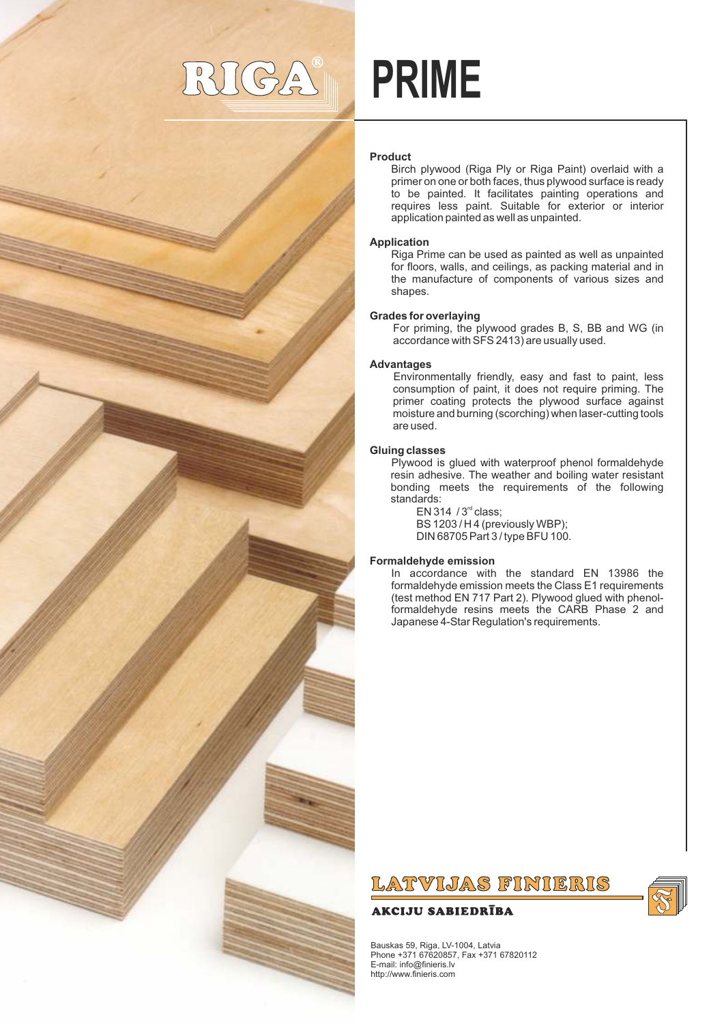# **PRIME**

### **Product**

Birch plywood (Riga Ply or Riga Paint) overlaid with a primer on one or both faces, thus plywood surface is ready to be painted. It facilitates painting operations and requires less paint. Suitable for exterior or interior application painted as well as unpainted.

### **Application**

Riga Prime can be used as painted as well as unpainted for floors, walls, and ceilings, as packing material and in the manufacture of components of various sizes and shapes.

### **Grades for overlaying**

For priming, the plywood grades B, S, BB and WG (in accordance with SFS 2413) are usually used.

### **Advantages**

Environmentally friendly, easy and fast to paint, less consumption of paint, it does not require priming. The primer coating protects the plywood surface against moisture and burning (scorching) when laser-cutting tools are used.

### **Gluing classes**

Plywood is glued with waterproof phenol formaldehyde resin adhesive. The weather and boiling water resistant bonding meets the requirements of the following standards:

EN 314  $/3<sup>rd</sup>$  class; BS 1203 / H 4 (previously WBP); DIN 68705 Part 3 / type BFU 100.

### **Formaldehyde emission**

In accordance with the standard EN 13986 the formaldehyde emission meets the Class E1 requirements (test method EN 717 Part 2). Plywood glued with phenolformaldehyde resins meets the CARB Phase 2 and Japanese 4-Star Regulation's requirements.

## LATVIJAS FINIERIS

### **AKCIJU SABIEDRĪBA**



Bauskas 59, Riga, LV-1004, Latvia Phone +371 67620857, Fax +371 67820112 E-mail: info@finieris.lv http://www.finieris.com